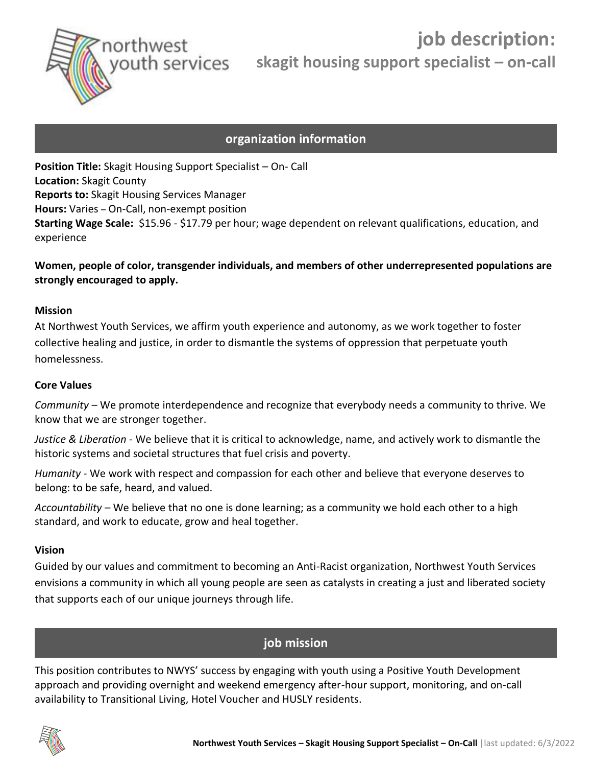

# **organization information**

**Position Title:** Skagit Housing Support Specialist – On- Call **Location:** Skagit County **Reports to:** Skagit Housing Services Manager **Hours:** Varies – On-Call, non-exempt position **Starting Wage Scale:** \$15.96 - \$17.79 per hour; wage dependent on relevant qualifications, education, and experience

### **Women, people of color, transgender individuals, and members of other underrepresented populations are strongly encouraged to apply.**

#### **Mission**

At Northwest Youth Services, we affirm youth experience and autonomy, as we work together to foster collective healing and justice, in order to dismantle the systems of oppression that perpetuate youth homelessness.

#### **Core Values**

*Community –* We promote interdependence and recognize that everybody needs a community to thrive. We know that we are stronger together.

*Justice & Liberation -* We believe that it is critical to acknowledge, name, and actively work to dismantle the historic systems and societal structures that fuel crisis and poverty.

*Humanity -* We work with respect and compassion for each other and believe that everyone deserves to belong: to be safe, heard, and valued.

*Accountability –* We believe that no one is done learning; as a community we hold each other to a high standard, and work to educate, grow and heal together.

#### **Vision**

Guided by our values and commitment to becoming an Anti-Racist organization, Northwest Youth Services envisions a community in which all young people are seen as catalysts in creating a just and liberated society that supports each of our unique journeys through life.

## **job mission**

This position contributes to NWYS' success by engaging with youth using a Positive Youth Development approach and providing overnight and weekend emergency after-hour support, monitoring, and on-call availability to Transitional Living, Hotel Voucher and HUSLY residents.

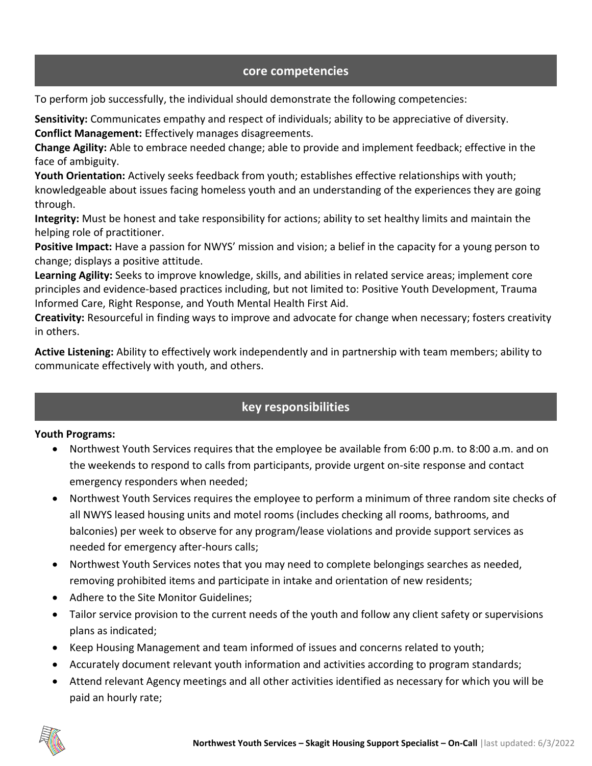## **core competencies**

To perform job successfully, the individual should demonstrate the following competencies:

**Sensitivity:** Communicates empathy and respect of individuals; ability to be appreciative of diversity.

**Conflict Management:** Effectively manages disagreements.

**Change Agility:** Able to embrace needed change; able to provide and implement feedback; effective in the face of ambiguity.

**Youth Orientation:** Actively seeks feedback from youth; establishes effective relationships with youth; knowledgeable about issues facing homeless youth and an understanding of the experiences they are going through.

**Integrity:** Must be honest and take responsibility for actions; ability to set healthy limits and maintain the helping role of practitioner.

**Positive Impact:** Have a passion for NWYS' mission and vision; a belief in the capacity for a young person to change; displays a positive attitude.

**Learning Agility:** Seeks to improve knowledge, skills, and abilities in related service areas; implement core principles and evidence-based practices including, but not limited to: Positive Youth Development, Trauma Informed Care, Right Response, and Youth Mental Health First Aid.

**Creativity:** Resourceful in finding ways to improve and advocate for change when necessary; fosters creativity in others.

**Active Listening:** Ability to effectively work independently and in partnership with team members; ability to communicate effectively with youth, and others.

# **key responsibilities**

### **Youth Programs:**

- Northwest Youth Services requires that the employee be available from 6:00 p.m. to 8:00 a.m. and on the weekends to respond to calls from participants, provide urgent on-site response and contact emergency responders when needed;
- Northwest Youth Services requires the employee to perform a minimum of three random site checks of all NWYS leased housing units and motel rooms (includes checking all rooms, bathrooms, and balconies) per week to observe for any program/lease violations and provide support services as needed for emergency after-hours calls;
- Northwest Youth Services notes that you may need to complete belongings searches as needed, removing prohibited items and participate in intake and orientation of new residents;
- Adhere to the Site Monitor Guidelines;
- Tailor service provision to the current needs of the youth and follow any client safety or supervisions plans as indicated;
- Keep Housing Management and team informed of issues and concerns related to youth;
- Accurately document relevant youth information and activities according to program standards;
- Attend relevant Agency meetings and all other activities identified as necessary for which you will be paid an hourly rate;